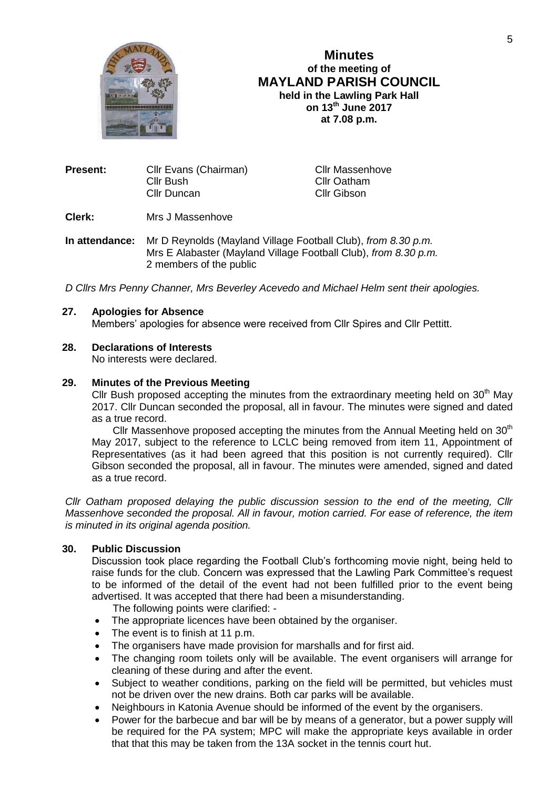

# **Minutes of the meeting of MAYLAND PARISH COUNCIL held in the Lawling Park Hall on 13th June 2017 at 7.08 p.m.**

| Present: | Cllr Evans (Chairman) | <b>Cllr Massenhove</b> |  |
|----------|-----------------------|------------------------|--|
|          | Cllr Bush             | Cllr Oatham            |  |
|          | Cllr Duncan           | Cllr Gibson            |  |
|          |                       |                        |  |

**Clerk:** Mrs J Massenhove

**In attendance:** Mr D Reynolds (Mayland Village Football Club), *from 8.30 p.m.* Mrs E Alabaster (Mayland Village Football Club), *from 8.30 p.m.* 2 members of the public

*D Cllrs Mrs Penny Channer, Mrs Beverley Acevedo and Michael Helm sent their apologies.*

## **27. Apologies for Absence**

Members' apologies for absence were received from Cllr Spires and Cllr Pettitt.

## **28. Declarations of Interests**

No interests were declared.

# **29. Minutes of the Previous Meeting**

Cllr Bush proposed accepting the minutes from the extraordinary meeting held on  $30<sup>th</sup>$  May 2017. Cllr Duncan seconded the proposal, all in favour. The minutes were signed and dated as a true record.

Cllr Massenhove proposed accepting the minutes from the Annual Meeting held on 30<sup>th</sup> May 2017, subject to the reference to LCLC being removed from item 11, Appointment of Representatives (as it had been agreed that this position is not currently required). Cllr Gibson seconded the proposal, all in favour. The minutes were amended, signed and dated as a true record.

*Cllr Oatham proposed delaying the public discussion session to the end of the meeting, Cllr Massenhove seconded the proposal. All in favour, motion carried. For ease of reference, the item is minuted in its original agenda position.*

# **30. Public Discussion**

Discussion took place regarding the Football Club's forthcoming movie night, being held to raise funds for the club. Concern was expressed that the Lawling Park Committee's request to be informed of the detail of the event had not been fulfilled prior to the event being advertised. It was accepted that there had been a misunderstanding.

The following points were clarified: -

- The appropriate licences have been obtained by the organiser.
- The event is to finish at 11 p.m.
- The organisers have made provision for marshalls and for first aid.
- The changing room toilets only will be available. The event organisers will arrange for cleaning of these during and after the event.
- Subject to weather conditions, parking on the field will be permitted, but vehicles must not be driven over the new drains. Both car parks will be available.
- Neighbours in Katonia Avenue should be informed of the event by the organisers.
- Power for the barbecue and bar will be by means of a generator, but a power supply will be required for the PA system; MPC will make the appropriate keys available in order that that this may be taken from the 13A socket in the tennis court hut.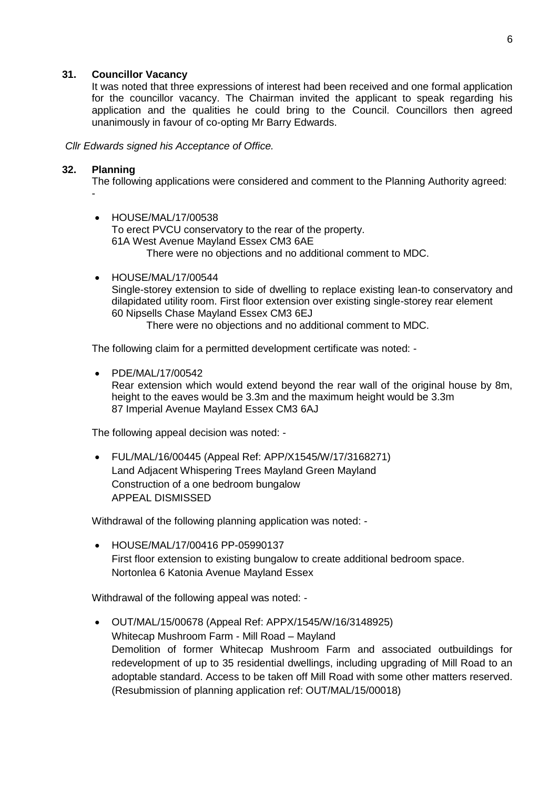## **31. Councillor Vacancy**

It was noted that three expressions of interest had been received and one formal application for the councillor vacancy. The Chairman invited the applicant to speak regarding his application and the qualities he could bring to the Council. Councillors then agreed unanimously in favour of co-opting Mr Barry Edwards.

*Cllr Edwards signed his Acceptance of Office.*

## **32. Planning**

The following applications were considered and comment to the Planning Authority agreed:

- - HOUSE/MAL/17/00538 To erect PVCU conservatory to the rear of the property. 61A West Avenue Mayland Essex CM3 6AE There were no objections and no additional comment to MDC.
- HOUSE/MAL/17/00544 Single-storey extension to side of dwelling to replace existing lean-to conservatory and dilapidated utility room. First floor extension over existing single-storey rear element 60 Nipsells Chase Mayland Essex CM3 6EJ There were no objections and no additional comment to MDC.

The following claim for a permitted development certificate was noted: -

PDE/MAL/17/00542

Rear extension which would extend beyond the rear wall of the original house by 8m, height to the eaves would be 3.3m and the maximum height would be 3.3m 87 Imperial Avenue Mayland Essex CM3 6AJ

The following appeal decision was noted: -

 FUL/MAL/16/00445 (Appeal Ref: APP/X1545/W/17/3168271) Land Adjacent Whispering Trees Mayland Green Mayland Construction of a one bedroom bungalow APPEAL DISMISSED

Withdrawal of the following planning application was noted: -

 HOUSE/MAL/17/00416 PP-05990137 First floor extension to existing bungalow to create additional bedroom space. Nortonlea 6 Katonia Avenue Mayland Essex

Withdrawal of the following appeal was noted: -

 OUT/MAL/15/00678 (Appeal Ref: APPX/1545/W/16/3148925) Whitecap Mushroom Farm - Mill Road – Mayland Demolition of former Whitecap Mushroom Farm and associated outbuildings for redevelopment of up to 35 residential dwellings, including upgrading of Mill Road to an adoptable standard. Access to be taken off Mill Road with some other matters reserved. (Resubmission of planning application ref: OUT/MAL/15/00018)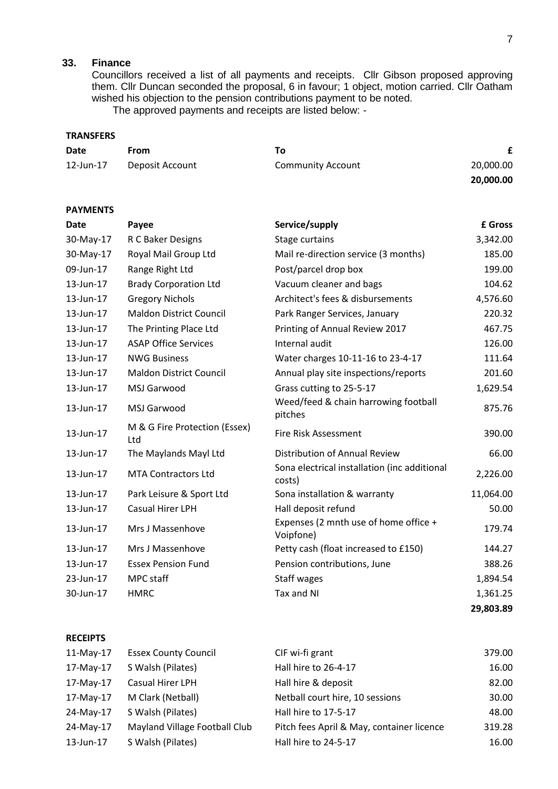# **33. Finance**

Councillors received a list of all payments and receipts. Cllr Gibson proposed approving them. Cllr Duncan seconded the proposal, 6 in favour; 1 object, motion carried. Cllr Oatham wished his objection to the pension contributions payment to be noted. The approved payments and receipts are listed below: -

## **TRANSFERS**

| Date      | From            | Τo                       |           |
|-----------|-----------------|--------------------------|-----------|
| 12-Jun-17 | Deposit Account | <b>Community Account</b> | 20,000.00 |
|           |                 |                          | 20,000.00 |

## **PAYMENTS**

| <b>Date</b> | Payee                                | Service/supply                                         | £ Gross   |
|-------------|--------------------------------------|--------------------------------------------------------|-----------|
| 30-May-17   | R C Baker Designs                    | Stage curtains                                         | 3,342.00  |
| 30-May-17   | Royal Mail Group Ltd                 | Mail re-direction service (3 months)                   | 185.00    |
| 09-Jun-17   | Range Right Ltd                      | Post/parcel drop box                                   | 199.00    |
| 13-Jun-17   | <b>Brady Corporation Ltd</b>         | Vacuum cleaner and bags                                | 104.62    |
| 13-Jun-17   | <b>Gregory Nichols</b>               | Architect's fees & disbursements                       | 4,576.60  |
| 13-Jun-17   | <b>Maldon District Council</b>       | Park Ranger Services, January                          | 220.32    |
| 13-Jun-17   | The Printing Place Ltd               | Printing of Annual Review 2017                         | 467.75    |
| 13-Jun-17   | <b>ASAP Office Services</b>          | Internal audit                                         | 126.00    |
| 13-Jun-17   | <b>NWG Business</b>                  | Water charges 10-11-16 to 23-4-17                      | 111.64    |
| 13-Jun-17   | <b>Maldon District Council</b>       | Annual play site inspections/reports                   | 201.60    |
| 13-Jun-17   | MSJ Garwood                          | Grass cutting to 25-5-17                               | 1,629.54  |
| 13-Jun-17   | MSJ Garwood                          | Weed/feed & chain harrowing football<br>pitches        | 875.76    |
| 13-Jun-17   | M & G Fire Protection (Essex)<br>Ltd | Fire Risk Assessment                                   | 390.00    |
| 13-Jun-17   | The Maylands Mayl Ltd                | Distribution of Annual Review                          | 66.00     |
| 13-Jun-17   | <b>MTA Contractors Ltd</b>           | Sona electrical installation (inc additional<br>costs) | 2,226.00  |
| 13-Jun-17   | Park Leisure & Sport Ltd             | Sona installation & warranty                           | 11,064.00 |
| 13-Jun-17   | Casual Hirer LPH                     | Hall deposit refund                                    | 50.00     |
| 13-Jun-17   | Mrs J Massenhove                     | Expenses (2 mnth use of home office +<br>Voipfone)     | 179.74    |
| 13-Jun-17   | Mrs J Massenhove                     | Petty cash (float increased to £150)                   | 144.27    |
| 13-Jun-17   | <b>Essex Pension Fund</b>            | Pension contributions, June                            | 388.26    |
| 23-Jun-17   | MPC staff                            | Staff wages                                            | 1,894.54  |
| 30-Jun-17   | <b>HMRC</b>                          | Tax and NI                                             | 1,361.25  |
|             |                                      |                                                        | 29,803.89 |

## **RECEIPTS**

| $11-May-17$ | <b>Essex County Council</b>   | CIF wi-fi grant                           | 379.00 |
|-------------|-------------------------------|-------------------------------------------|--------|
| 17-May-17   | S Walsh (Pilates)             | Hall hire to 26-4-17                      | 16.00  |
| 17-May-17   | Casual Hirer LPH              | Hall hire & deposit                       | 82.00  |
| 17-May-17   | M Clark (Netball)             | Netball court hire, 10 sessions           | 30.00  |
| 24-May-17   | S Walsh (Pilates)             | Hall hire to 17-5-17                      | 48.00  |
| 24-May-17   | Mayland Village Football Club | Pitch fees April & May, container licence | 319.28 |
| 13-Jun-17   | S Walsh (Pilates)             | Hall hire to 24-5-17                      | 16.00  |
|             |                               |                                           |        |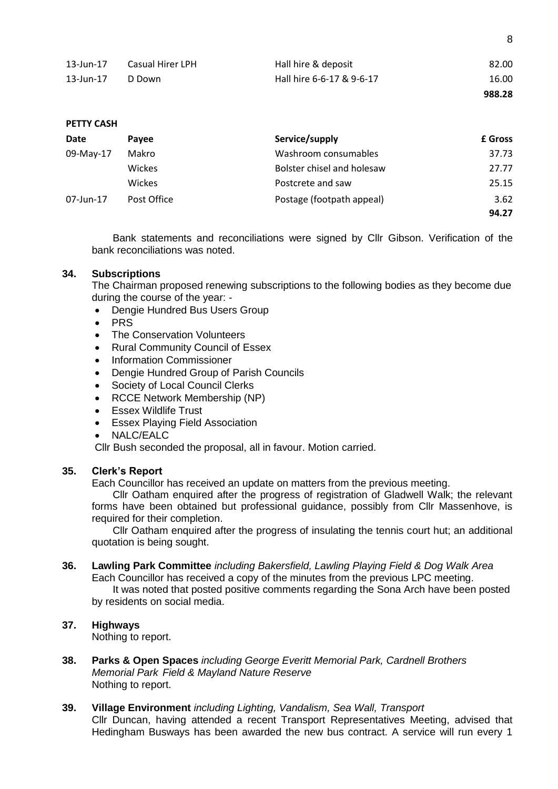|              |                  |                           | 988.28 |
|--------------|------------------|---------------------------|--------|
| 13-Jun-17    | D Down           | Hall hire 6-6-17 & 9-6-17 | 16.00  |
| $13$ -Jun-17 | Casual Hirer LPH | Hall hire & deposit       | 82.00  |

8

#### **PETTY CASH**

| Date      | <b>Pavee</b>  | Service/supply             | <b>£</b> Gross |
|-----------|---------------|----------------------------|----------------|
| 09-May-17 | Makro         | Washroom consumables       | 37.73          |
|           | Wickes        | Bolster chisel and holesaw | 27.77          |
|           | <b>Wickes</b> | Postcrete and saw          | 25.15          |
| 07-Jun-17 | Post Office   | Postage (footpath appeal)  | 3.62           |
|           |               |                            | 94.27          |

Bank statements and reconciliations were signed by Cllr Gibson. Verification of the bank reconciliations was noted.

#### **34. Subscriptions**

The Chairman proposed renewing subscriptions to the following bodies as they become due during the course of the year: -

- Dengie Hundred Bus Users Group
- PRS
- The Conservation Volunteers
- Rural Community Council of Essex
- Information Commissioner
- Dengie Hundred Group of Parish Councils
- Society of Local Council Clerks
- RCCE Network Membership (NP)
- Essex Wildlife Trust
- Essex Playing Field Association
- NALC/EALC

Cllr Bush seconded the proposal, all in favour. Motion carried.

#### **35. Clerk's Report**

Each Councillor has received an update on matters from the previous meeting.

Cllr Oatham enquired after the progress of registration of Gladwell Walk; the relevant forms have been obtained but professional guidance, possibly from Cllr Massenhove, is required for their completion.

Cllr Oatham enquired after the progress of insulating the tennis court hut; an additional quotation is being sought.

#### **36. Lawling Park Committee** *including Bakersfield, Lawling Playing Field & Dog Walk Area* Each Councillor has received a copy of the minutes from the previous LPC meeting. It was noted that posted positive comments regarding the Sona Arch have been posted

by residents on social media.

# **37. Highways**

Nothing to report.

- **38. Parks & Open Spaces** *including George Everitt Memorial Park, Cardnell Brothers Memorial Park Field & Mayland Nature Reserve* Nothing to report.
- **39. Village Environment** *including Lighting, Vandalism, Sea Wall, Transport* Cllr Duncan, having attended a recent Transport Representatives Meeting, advised that Hedingham Busways has been awarded the new bus contract. A service will run every 1